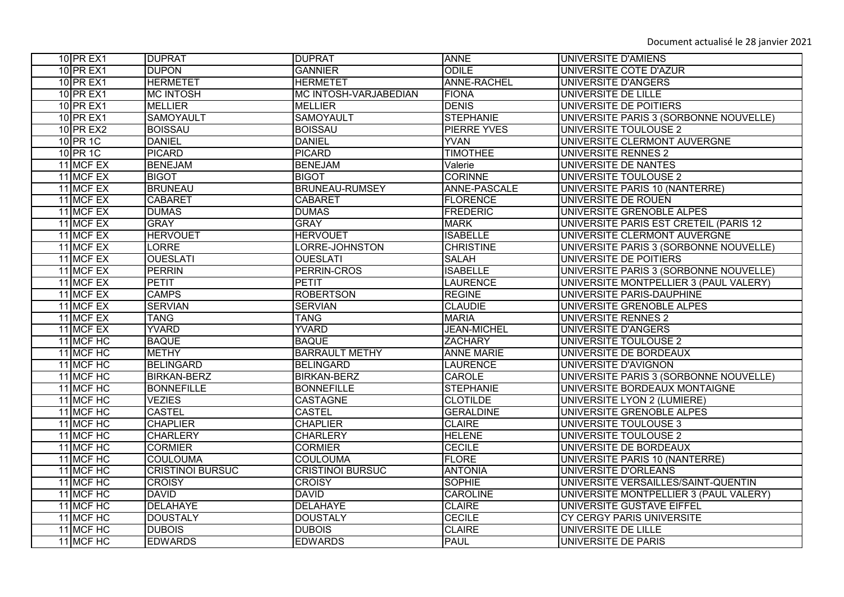| <b>10 PR EX1</b> | <b>DUPRAT</b>           | <b>DUPRAT</b>           | <b>ANNE</b>         | UNIVERSITE D'AMIENS                    |
|------------------|-------------------------|-------------------------|---------------------|----------------------------------------|
| <b>10 PR EX1</b> | <b>DUPON</b>            | <b>GANNIER</b>          | <b>ODILE</b>        | UNIVERSITE COTE D'AZUR                 |
| <b>10 PR EX1</b> | <b>HERMETET</b>         | <b>HERMETET</b>         | ANNE-RACHEL         | <b>UNIVERSITE D'ANGERS</b>             |
| <b>10 PR EX1</b> | <b>MC INTOSH</b>        | MC INTOSH-VARJABEDIAN   | <b>FIONA</b>        | UNIVERSITE DE LILLE                    |
| <b>10 PR EX1</b> | <b>MELLIER</b>          | <b>MELLIER</b>          | <b>DENIS</b>        | UNIVERSITE DE POITIERS                 |
| <b>10 PR EX1</b> | <b>SAMOYAULT</b>        | <b>SAMOYAULT</b>        | <b>STEPHANIE</b>    | UNIVERSITE PARIS 3 (SORBONNE NOUVELLE) |
| <b>10 PR EX2</b> | <b>BOISSAU</b>          | <b>BOISSAU</b>          | <b>PIERRE YVES</b>  | UNIVERSITE TOULOUSE 2                  |
| 10 PR 1C         | <b>DANIEL</b>           | <b>DANIEL</b>           | <b>YVAN</b>         | UNIVERSITE CLERMONT AUVERGNE           |
| 10 PR 1C         | <b>PICARD</b>           | <b>PICARD</b>           | <b>TIMOTHEE</b>     | UNIVERSITE RENNES 2                    |
| 11 MCF EX        | <b>BENEJAM</b>          | <b>BENEJAM</b>          | Valerie             | UNIVERSITE DE NANTES                   |
| 11 MCF EX        | <b>BIGOT</b>            | <b>BIGOT</b>            | <b>CORINNE</b>      | UNIVERSITE TOULOUSE 2                  |
| 11 MCF EX        | <b>BRUNEAU</b>          | <b>BRUNEAU-RUMSEY</b>   | <b>ANNE-PASCALE</b> | UNIVERSITE PARIS 10 (NANTERRE)         |
| 11 MCF EX        | <b>CABARET</b>          | <b>CABARET</b>          | <b>FLORENCE</b>     | UNIVERSITE DE ROUEN                    |
| 11 MCF EX        | <b>DUMAS</b>            | <b>DUMAS</b>            | <b>FREDERIC</b>     | UNIVERSITE GRENOBLE ALPES              |
| 11 MCF EX        | <b>GRAY</b>             | <b>GRAY</b>             | <b>MARK</b>         | UNIVERSITE PARIS EST CRETEIL (PARIS 12 |
| 11 MCF EX        | <b>HERVOUET</b>         | <b>HERVOUET</b>         | <b>ISABELLE</b>     | UNIVERSITE CLERMONT AUVERGNE           |
| 11 MCF EX        | <b>LORRE</b>            | LORRE-JOHNSTON          | <b>CHRISTINE</b>    | UNIVERSITE PARIS 3 (SORBONNE NOUVELLE) |
| 11 MCF EX        | <b>OUESLATI</b>         | <b>OUESLATI</b>         | <b>SALAH</b>        | UNIVERSITE DE POITIERS                 |
| 11 MCF EX        | PERRIN                  | PERRIN-CROS             | <b>ISABELLE</b>     | UNIVERSITE PARIS 3 (SORBONNE NOUVELLE) |
| 11 MCF EX        | <b>PETIT</b>            | <b>PETIT</b>            | <b>LAURENCE</b>     | UNIVERSITE MONTPELLIER 3 (PAUL VALERY) |
| 11 MCF EX        | <b>CAMPS</b>            | <b>ROBERTSON</b>        | <b>REGINE</b>       | UNIVERSITE PARIS-DAUPHINE              |
| 11 MCF EX        | <b>SERVIAN</b>          | <b>SERVIAN</b>          | <b>CLAUDIE</b>      | UNIVERSITE GRENOBLE ALPES              |
| 11 MCF EX        | <b>TANG</b>             | TANG                    | <b>MARIA</b>        | <b>UNIVERSITE RENNES 2</b>             |
| 11 MCF EX        | <b>YVARD</b>            | <b>YVARD</b>            | <b>JEAN-MICHEL</b>  | UNIVERSITE D'ANGERS                    |
| 11 MCF HC        | <b>BAQUE</b>            | <b>BAQUE</b>            | <b>ZACHARY</b>      | UNIVERSITE TOULOUSE 2                  |
| 11 MCF HC        | <b>METHY</b>            | <b>BARRAULT METHY</b>   | <b>ANNE MARIE</b>   | UNIVERSITE DE BORDEAUX                 |
| 11 MCF HC        | <b>BELINGARD</b>        | <b>BELINGARD</b>        | <b>LAURENCE</b>     | UNIVERSITE D'AVIGNON                   |
| 11 MCF HC        | <b>BIRKAN-BERZ</b>      | <b>BIRKAN-BERZ</b>      | CAROLE              | UNIVERSITE PARIS 3 (SORBONNE NOUVELLE) |
| 11 MCF HC        | <b>BONNEFILLE</b>       | <b>BONNEFILLE</b>       | <b>STEPHANIE</b>    | UNIVERSITE BORDEAUX MONTAIGNE          |
| 11 MCF HC        | <b>VEZIES</b>           | <b>CASTAGNE</b>         | <b>CLOTILDE</b>     | UNIVERSITE LYON 2 (LUMIERE)            |
| 11 MCF HC        | <b>CASTEL</b>           | <b>CASTEL</b>           | <b>GERALDINE</b>    | UNIVERSITE GRENOBLE ALPES              |
| 11 MCF HC        | <b>CHAPLIER</b>         | <b>CHAPLIER</b>         | <b>CLAIRE</b>       | UNIVERSITE TOULOUSE 3                  |
| 11 MCF HC        | <b>CHARLERY</b>         | <b>CHARLERY</b>         | <b>HELENE</b>       | UNIVERSITE TOULOUSE 2                  |
| 11 MCF HC        | <b>CORMIER</b>          | <b>CORMIER</b>          | <b>CECILE</b>       | UNIVERSITE DE BORDEAUX                 |
| 11 MCF HC        | <b>COULOUMA</b>         | <b>COULOUMA</b>         | <b>FLORE</b>        | UNIVERSITE PARIS 10 (NANTERRE)         |
| 11 MCF HC        | <b>CRISTINOI BURSUC</b> | <b>CRISTINOI BURSUC</b> | <b>ANTONIA</b>      | <b>UNIVERSITE D'ORLEANS</b>            |
| 11 MCF HC        | <b>CROISY</b>           | <b>CROISY</b>           | <b>SOPHIE</b>       | UNIVERSITE VERSAILLES/SAINT-QUENTIN    |
| 11 MCF HC        | <b>DAVID</b>            | <b>DAVID</b>            | <b>CAROLINE</b>     | UNIVERSITE MONTPELLIER 3 (PAUL VALERY) |
| 11 MCF HC        | <b>DELAHAYE</b>         | <b>DELAHAYE</b>         | <b>CLAIRE</b>       | UNIVERSITE GUSTAVE EIFFEL              |
| 11 MCF HC        | <b>DOUSTALY</b>         | <b>DOUSTALY</b>         | <b>CECILE</b>       | <b>CY CERGY PARIS UNIVERSITE</b>       |
| 11 MCF HC        | <b>DUBOIS</b>           | <b>DUBOIS</b>           | <b>CLAIRE</b>       | UNIVERSITE DE LILLE                    |
| 11 MCF HC        | <b>EDWARDS</b>          | <b>EDWARDS</b>          | <b>PAUL</b>         | UNIVERSITE DE PARIS                    |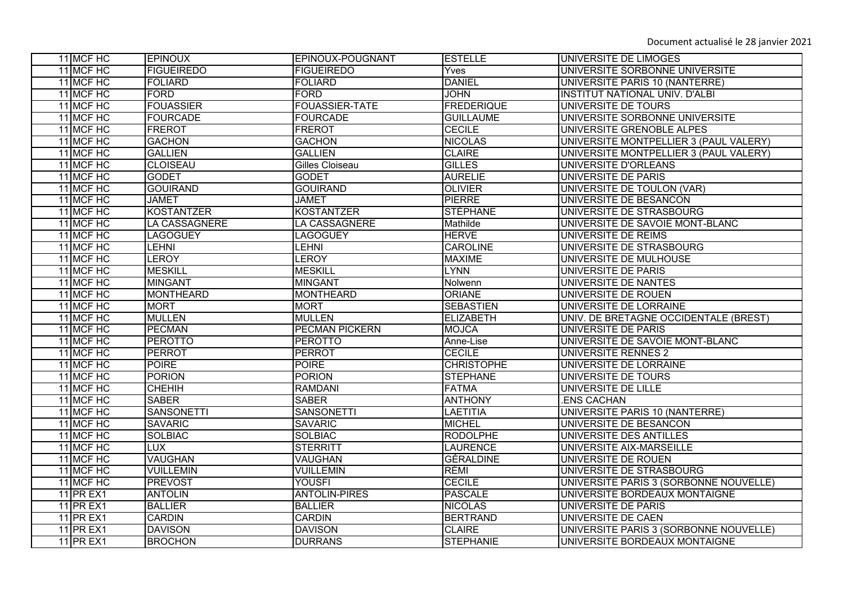| 11 MCF HC        | <b>EPINOUX</b>       | EPINOUX-POUGNANT      | <b>ESTELLE</b>    | UNIVERSITE DE LIMOGES                  |
|------------------|----------------------|-----------------------|-------------------|----------------------------------------|
| 11 MCF HC        | <b>FIGUEIREDO</b>    | <b>FIGUEIREDO</b>     | Yves              | UNIVERSITE SORBONNE UNIVERSITE         |
| 11 MCF HC        | <b>FOLIARD</b>       | <b>FOLIARD</b>        | <b>DANIEL</b>     | UNIVERSITE PARIS 10 (NANTERRE)         |
| 11 MCF HC        | <b>FORD</b>          | <b>FORD</b>           | <b>JOHN</b>       | <b>INSTITUT NATIONAL UNIV. D'ALBI</b>  |
| 11 MCF HC        | <b>FOUASSIER</b>     | <b>FOUASSIER-TATE</b> | <b>FREDERIQUE</b> | UNIVERSITE DE TOURS                    |
| 11 MCF HC        | <b>FOURCADE</b>      | <b>FOURCADE</b>       | <b>GUILLAUME</b>  | UNIVERSITE SORBONNE UNIVERSITE         |
| 11 MCF HC        | <b>FREROT</b>        | <b>FREROT</b>         | <b>CECILE</b>     | UNIVERSITE GRENOBLE ALPES              |
| 11 MCF HC        | <b>GACHON</b>        | <b>GACHON</b>         | <b>NICOLAS</b>    | UNIVERSITE MONTPELLIER 3 (PAUL VALERY) |
| 11 MCF HC        | <b>GALLIEN</b>       | <b>GALLIEN</b>        | <b>CLAIRE</b>     | UNIVERSITE MONTPELLIER 3 (PAUL VALERY) |
| 11 MCF HC        | <b>CLOISEAU</b>      | Gilles Cloiseau       | <b>GILLES</b>     | UNIVERSITE D'ORLEANS                   |
| 11 MCF HC        | <b>GODET</b>         | <b>GODET</b>          | <b>AURELIE</b>    | <b>UNIVERSITE DE PARIS</b>             |
| 11 MCF HC        | <b>GOUIRAND</b>      | <b>GOUIRAND</b>       | <b>OLIVIER</b>    | UNIVERSITE DE TOULON (VAR)             |
| 11 MCF HC        | <b>JAMET</b>         | <b>JAMET</b>          | <b>PIERRE</b>     | UNIVERSITE DE BESANCON                 |
| 11 MCF HC        | <b>KOSTANTZER</b>    | <b>KOSTANTZER</b>     | <b>STÉPHANE</b>   | UNIVERSITE DE STRASBOURG               |
| 11 MCF HC        | <b>LA CASSAGNERE</b> | LA CASSAGNERE         | Mathilde          | UNIVERSITE DE SAVOIE MONT-BLANC        |
| 11 MCF HC        | <b>LAGOGUEY</b>      | <b>LAGOGUEY</b>       | <b>HERVE</b>      | UNIVERSITE DE REIMS                    |
| 11 MCF HC        | LEHNI                | <b>LEHNI</b>          | <b>CAROLINE</b>   | UNIVERSITE DE STRASBOURG               |
| 11 MCF HC        | <b>LEROY</b>         | LEROY                 | <b>MAXIME</b>     | UNIVERSITE DE MULHOUSE                 |
| 11 MCF HC        | <b>MESKILL</b>       | <b>MESKILL</b>        | <b>LYNN</b>       | UNIVERSITE DE PARIS                    |
| 11 MCF HC        | <b>MINGANT</b>       | <b>MINGANT</b>        | Nolwenn           | UNIVERSITE DE NANTES                   |
| 11 MCF HC        | <b>MONTHEARD</b>     | <b>MONTHEARD</b>      | <b>ORIANE</b>     | UNIVERSITE DE ROUEN                    |
| 11 MCF HC        | <b>MORT</b>          | <b>MORT</b>           | <b>SEBASTIEN</b>  | UNIVERSITE DE LORRAINE                 |
| 11 MCF HC        | <b>MULLEN</b>        | <b>MULLEN</b>         | <b>ELIZABETH</b>  | UNIV. DE BRETAGNE OCCIDENTALE (BREST)  |
| 11 MCF HC        | <b>PECMAN</b>        | <b>PECMAN PICKERN</b> | <b>MOJCA</b>      | UNIVERSITE DE PARIS                    |
| 11 MCF HC        | <b>PEROTTO</b>       | <b>PEROTTO</b>        | Anne-Lise         | UNIVERSITE DE SAVOIE MONT-BLANC        |
| 11 MCF HC        | <b>PERROT</b>        | <b>PERROT</b>         | <b>CECILE</b>     | UNIVERSITE RENNES 2                    |
| 11 MCF HC        | <b>POIRE</b>         | <b>POIRE</b>          | <b>CHRISTOPHE</b> | UNIVERSITE DE LORRAINE                 |
| 11 MCF HC        | <b>PORION</b>        | <b>PORION</b>         | <b>STEPHANE</b>   | UNIVERSITE DE TOURS                    |
| 11 MCF HC        | <b>CHEHIH</b>        | <b>RAMDANI</b>        | <b>FATMA</b>      | UNIVERSITE DE LILLE                    |
| 11 MCF HC        | <b>SABER</b>         | <b>SABER</b>          | <b>ANTHONY</b>    | <b>ENS CACHAN</b>                      |
| 11 MCF HC        | <b>SANSONETTI</b>    | <b>SANSONETTI</b>     | <b>LAETITIA</b>   | UNIVERSITE PARIS 10 (NANTERRE)         |
| 11 MCF HC        | <b>SAVARIC</b>       | <b>SAVARIC</b>        | <b>MICHEL</b>     | UNIVERSITE DE BESANCON                 |
| 11 MCF HC        | <b>SOLBIAC</b>       | <b>SOLBIAC</b>        | <b>RODOLPHE</b>   | UNIVERSITE DES ANTILLES                |
| 11 MCF HC        | <b>LUX</b>           | <b>STERRITT</b>       | <b>LAURENCE</b>   | UNIVERSITE AIX-MARSEILLE               |
| 11 MCF HC        | <b>VAUGHAN</b>       | <b>VAUGHAN</b>        | <b>GÉRALDINE</b>  | UNIVERSITE DE ROUEN                    |
| 11 MCF HC        | <b>VUILLEMIN</b>     | <b>VUILLEMIN</b>      | RÉMI              | UNIVERSITE DE STRASBOURG               |
| 11 MCF HC        | <b>PREVOST</b>       | <b>YOUSFI</b>         | <b>CECILE</b>     | UNIVERSITE PARIS 3 (SORBONNE NOUVELLE) |
| <b>11 PR EX1</b> | <b>ANTOLIN</b>       | <b>ANTOLIN-PIRES</b>  | <b>PASCALE</b>    | UNIVERSITE BORDEAUX MONTAIGNE          |
| <b>11 PR EX1</b> | <b>BALLIER</b>       | <b>BALLIER</b>        | <b>NICOLAS</b>    | <b>UNIVERSITE DE PARIS</b>             |
| <b>11 PR EX1</b> | <b>CARDIN</b>        | <b>CARDIN</b>         | <b>BERTRAND</b>   | UNIVERSITE DE CAEN                     |
| <b>11 PR EX1</b> | <b>DAVISON</b>       | <b>DAVISON</b>        | <b>CLAIRE</b>     | UNIVERSITE PARIS 3 (SORBONNE NOUVELLE) |
| <b>11 PR EX1</b> | <b>BROCHON</b>       | <b>DURRANS</b>        | <b>STEPHANIE</b>  | UNIVERSITE BORDEAUX MONTAIGNE          |